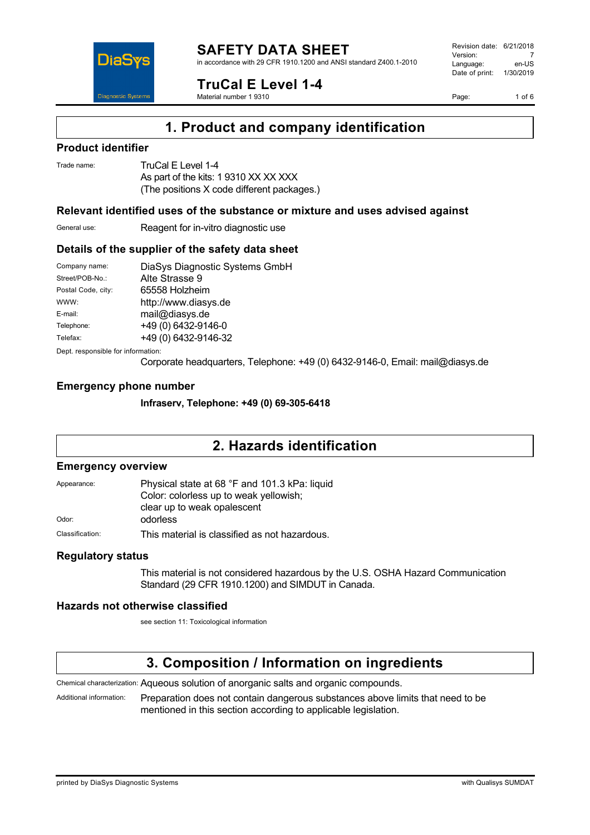

in accordance with 29 CFR 1910.1200 and ANSI standard Z400.1-2010

**TruCal E Level 1-4**

Material number 1 9310

Page: 1 of 6



### **Product identifier**

DiaS

**Diagnostic Syste** 

Trade name: TruCal E Level 1-4 As part of the kits: 1 9310 XX XX XXX (The positions X code different packages.)

### **Relevant identified uses of the substance or mixture and uses advised against**

General use: Reagent for in-vitro diagnostic use

### **Details of the supplier of the safety data sheet**

| Company name:      | DiaSys Diagnostic Systems GmbH |
|--------------------|--------------------------------|
| Street/POB-No.:    | Alte Strasse 9                 |
| Postal Code, city: | 65558 Holzheim                 |
| WWW:               | http://www.diasys.de           |
| E-mail:            | mail@diasys.de                 |
| Telephone:         | +49 (0) 6432-9146-0            |
| Telefax:           | +49 (0) 6432-9146-32           |
|                    |                                |

Dept. responsible for information:

Corporate headquarters, Telephone: +49 (0) 6432-9146-0, Email: mail@diasys.de

### **Emergency phone number**

**Infraserv, Telephone: +49 (0) 69-305-6418**

## **2. Hazards identification**

#### **Emergency overview**

| Appearance:     | Physical state at 68 °F and 101.3 kPa: liquid<br>Color: colorless up to weak yellowish; |
|-----------------|-----------------------------------------------------------------------------------------|
| Odor:           | clear up to weak opalescent<br>odorless                                                 |
| Classification: | This material is classified as not hazardous.                                           |

### **Regulatory status**

This material is not considered hazardous by the U.S. OSHA Hazard Communication Standard (29 CFR 1910.1200) and SIMDUT in Canada.

### **Hazards not otherwise classified**

see section 11: Toxicological information

## **3. Composition / Information on ingredients**

Chemical characterization: Aqueous solution of anorganic salts and organic compounds.

Additional information: Preparation does not contain dangerous substances above limits that need to be mentioned in this section according to applicable legislation.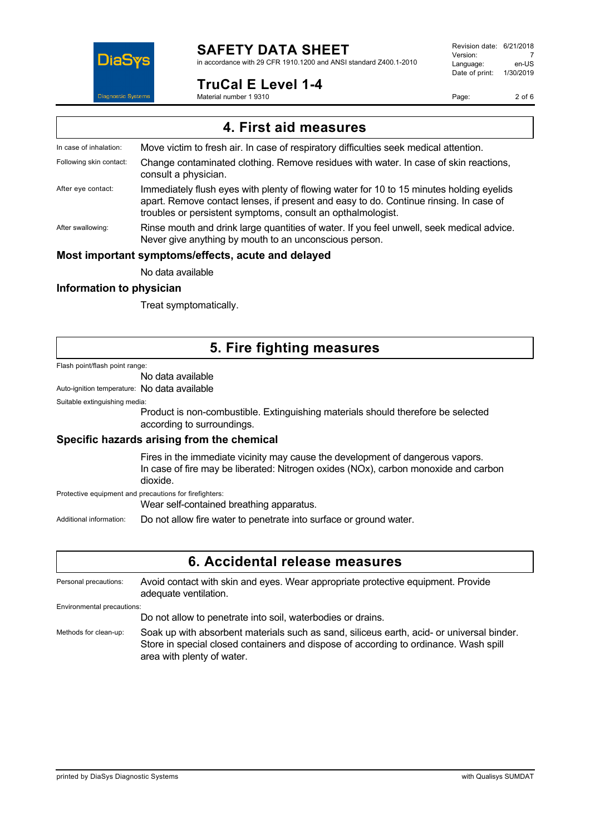

in accordance with 29 CFR 1910.1200 and ANSI standard Z400.1-2010

### **TruCal E Level 1-4**

Material number 1 9310

Revision date: 6/21/2018 Version: 7<br>Language: en-LIS Language: Date of print: 1/30/2019

Page: 2 of 6

| 4. First aid measures                              |                                                                                                                                                                                                                                                  |  |
|----------------------------------------------------|--------------------------------------------------------------------------------------------------------------------------------------------------------------------------------------------------------------------------------------------------|--|
| In case of inhalation:                             | Move victim to fresh air. In case of respiratory difficulties seek medical attention.                                                                                                                                                            |  |
| Following skin contact:                            | Change contaminated clothing. Remove residues with water. In case of skin reactions,<br>consult a physician.                                                                                                                                     |  |
| After eye contact:                                 | Immediately flush eyes with plenty of flowing water for 10 to 15 minutes holding eyelids<br>apart. Remove contact lenses, if present and easy to do. Continue rinsing. In case of<br>troubles or persistent symptoms, consult an opthalmologist. |  |
| After swallowing:                                  | Rinse mouth and drink large quantities of water. If you feel unwell, seek medical advice.<br>Never give anything by mouth to an unconscious person.                                                                                              |  |
| Most important symptoms/effects, acute and delayed |                                                                                                                                                                                                                                                  |  |

No data available

### **Information to physician**

Treat symptomatically.

# **5. Fire fighting measures**

#### Flash point/flash point range:

#### No data available

Auto-ignition temperature: No data available

Suitable extinguishing media:

Product is non-combustible. Extinguishing materials should therefore be selected according to surroundings.

### **Specific hazards arising from the chemical**

Fires in the immediate vicinity may cause the development of dangerous vapors. In case of fire may be liberated: Nitrogen oxides (NOx), carbon monoxide and carbon dioxide.

Protective equipment and precautions for firefighters:

Wear self-contained breathing apparatus.

Additional information: Do not allow fire water to penetrate into surface or ground water.

### **6. Accidental release measures**

Personal precautions: Avoid contact with skin and eyes. Wear appropriate protective equipment. Provide adequate ventilation. Environmental precautions: Do not allow to penetrate into soil, waterbodies or drains.

Methods for clean-up: Soak up with absorbent materials such as sand, siliceus earth, acid- or universal binder. Store in special closed containers and dispose of according to ordinance. Wash spill area with plenty of water.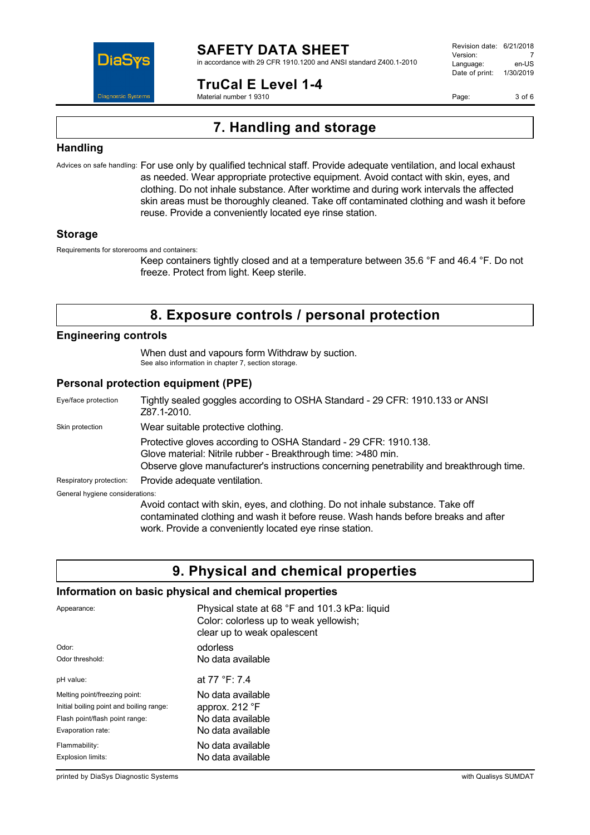

in accordance with 29 CFR 1910.1200 and ANSI standard Z400.1-2010

**TruCal E Level 1-4**

Material number 1 9310

Revision date: 6/21/2018 Version: 7<br>Language: en-LIS Language: Date of print: 1/30/2019

Page: 3 of 6

# **7. Handling and storage**

### **Handling**

Advices on safe handling: For use only by qualified technical staff. Provide adequate ventilation, and local exhaust as needed. Wear appropriate protective equipment. Avoid contact with skin, eyes, and clothing. Do not inhale substance. After worktime and during work intervals the affected skin areas must be thoroughly cleaned. Take off contaminated clothing and wash it before reuse. Provide a conveniently located eye rinse station.

### **Storage**

Requirements for storerooms and containers:

Keep containers tightly closed and at a temperature between 35.6 °F and 46.4 °F. Do not freeze. Protect from light. Keep sterile.

## **8. Exposure controls / personal protection**

### **Engineering controls**

When dust and vapours form Withdraw by suction. See also information in chapter 7, section storage.

### **Personal protection equipment (PPE)**

| Eye/face protection             | Tightly sealed goggles according to OSHA Standard - 29 CFR: 1910.133 or ANSI<br>Z87.1-2010.                                                                                                                                     |
|---------------------------------|---------------------------------------------------------------------------------------------------------------------------------------------------------------------------------------------------------------------------------|
| Skin protection                 | Wear suitable protective clothing.                                                                                                                                                                                              |
|                                 | Protective gloves according to OSHA Standard - 29 CFR: 1910.138.<br>Glove material: Nitrile rubber - Breakthrough time: >480 min.<br>Observe glove manufacturer's instructions concerning penetrability and breakthrough time.  |
| Respiratory protection:         | Provide adequate ventilation.                                                                                                                                                                                                   |
| General hygiene considerations: |                                                                                                                                                                                                                                 |
|                                 | Avoid contact with skin, eyes, and clothing. Do not inhale substance. Take off<br>contaminated clothing and wash it before reuse. Wash hands before breaks and after<br>work. Provide a conveniently located eye rinse station. |

## **9. Physical and chemical properties**

### **Information on basic physical and chemical properties**

| Appearance:                              | Physical state at 68 °F and 101.3 kPa: liquid<br>Color: colorless up to weak yellowish;<br>clear up to weak opalescent |
|------------------------------------------|------------------------------------------------------------------------------------------------------------------------|
| Odor:                                    | odorless                                                                                                               |
| Odor threshold:                          | No data available                                                                                                      |
| pH value:                                | at 77 °F: 7.4                                                                                                          |
| Melting point/freezing point:            | No data available                                                                                                      |
| Initial boiling point and boiling range: | approx. 212 °F                                                                                                         |
| Flash point/flash point range:           | No data available                                                                                                      |
| Evaporation rate:                        | No data available                                                                                                      |
| Flammability:                            | No data available                                                                                                      |
| Explosion limits:                        | No data available                                                                                                      |

printed by DiaSys Diagnostic Systems with Qualisys SUMDAT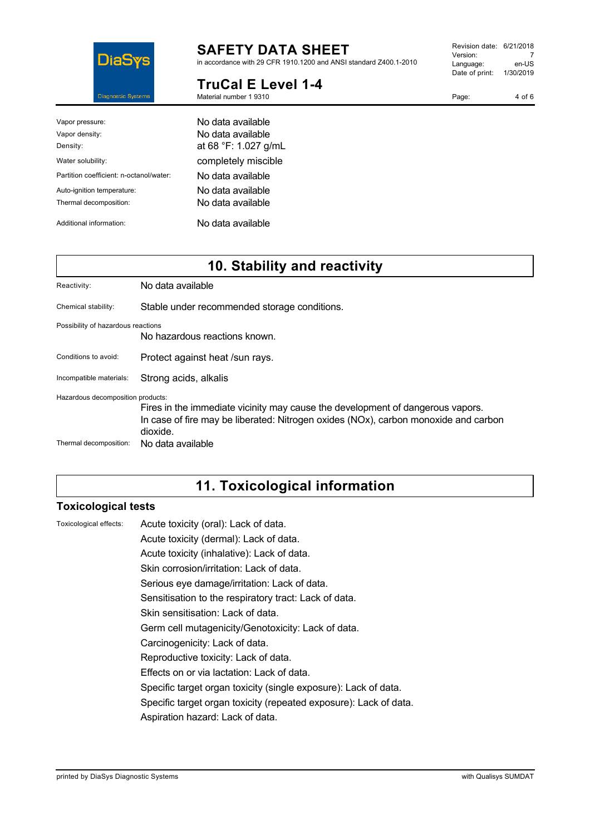

in accordance with 29 CFR 1910.1200 and ANSI standard Z400.1-2010

#### **TruCal E Level 1-4** Material number 1 9310

Revision date: 6/21/2018 Version: 7<br>Language: en-US Language: Date of print: 1/30/2019

Page: 4 of 6

| Vapor pressure:                         | No data available    |
|-----------------------------------------|----------------------|
| Vapor density:                          | No data available    |
| Density:                                | at 68 °F: 1.027 g/mL |
| Water solubility:                       | completely miscible  |
| Partition coefficient: n-octanol/water: | No data available    |
| Auto-ignition temperature:              | No data available    |
| Thermal decomposition:                  | No data available    |
| Additional information:                 | No data available    |

## **10. Stability and reactivity**

| Reactivity:                                                 | No data available                                                                                                                                                                                      |
|-------------------------------------------------------------|--------------------------------------------------------------------------------------------------------------------------------------------------------------------------------------------------------|
| Chemical stability:                                         | Stable under recommended storage conditions.                                                                                                                                                           |
| Possibility of hazardous reactions                          | No hazardous reactions known.                                                                                                                                                                          |
| Conditions to avoid:                                        | Protect against heat /sun rays.                                                                                                                                                                        |
| Incompatible materials:                                     | Strong acids, alkalis                                                                                                                                                                                  |
| Hazardous decomposition products:<br>Thermal decomposition: | Fires in the immediate vicinity may cause the development of dangerous vapors.<br>In case of fire may be liberated: Nitrogen oxides (NOx), carbon monoxide and carbon<br>dioxide.<br>No data available |

# **11. Toxicological information**

### **Toxicological tests**

| Toxicological effects: | Acu |
|------------------------|-----|
|------------------------|-----|

te toxicity (oral): Lack of data. Acute toxicity (dermal): Lack of data.

Acute toxicity (inhalative): Lack of data.

- Skin corrosion/irritation: Lack of data.
- Serious eye damage/irritation: Lack of data.

Sensitisation to the respiratory tract: Lack of data.

Skin sensitisation: Lack of data.

Germ cell mutagenicity/Genotoxicity: Lack of data.

- Carcinogenicity: Lack of data.
- Reproductive toxicity: Lack of data.

Effects on or via lactation: Lack of data.

- Specific target organ toxicity (single exposure): Lack of data.
- Specific target organ toxicity (repeated exposure): Lack of data.

Aspiration hazard: Lack of data.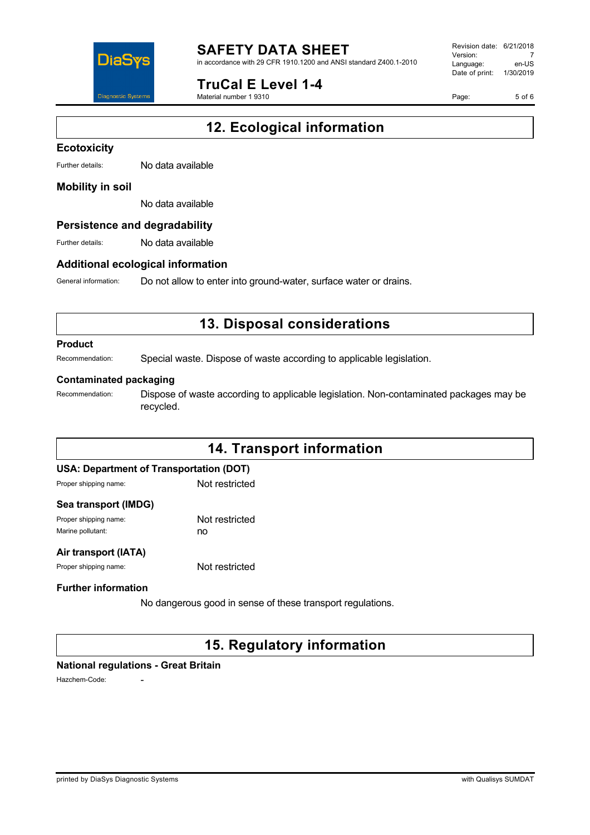

in accordance with 29 CFR 1910.1200 and ANSI standard Z400.1-2010

### **TruCal E Level 1-4**

Material number 1 9310

Revision date: 6/21/2018 Version: 7<br>Language: en-LIS Language: Date of print: 1/30/2019

Page: 5 of 6

# **12. Ecological information**

#### **Ecotoxicity**

Further details: No data available

#### **Mobility in soil**

No data available

#### **Persistence and degradability**

Further details: No data available

#### **Additional ecological information**

General information: Do not allow to enter into ground-water, surface water or drains.

## **13. Disposal considerations**

#### **Product**

Recommendation: Special waste. Dispose of waste according to applicable legislation.

#### **Contaminated packaging**

Recommendation: Dispose of waste according to applicable legislation. Non-contaminated packages may be recycled.

# **14. Transport information USA: Department of Transportation (DOT)** Proper shipping name: Not restricted **Sea transport (IMDG)** Proper shipping name: Not restricted Marine pollutant: now no **Air transport (IATA)** Proper shipping name: Not restricted **Further information** No dangerous good in sense of these transport regulations.

## **15. Regulatory information**

#### **National regulations - Great Britain**

Hazchem-Code: